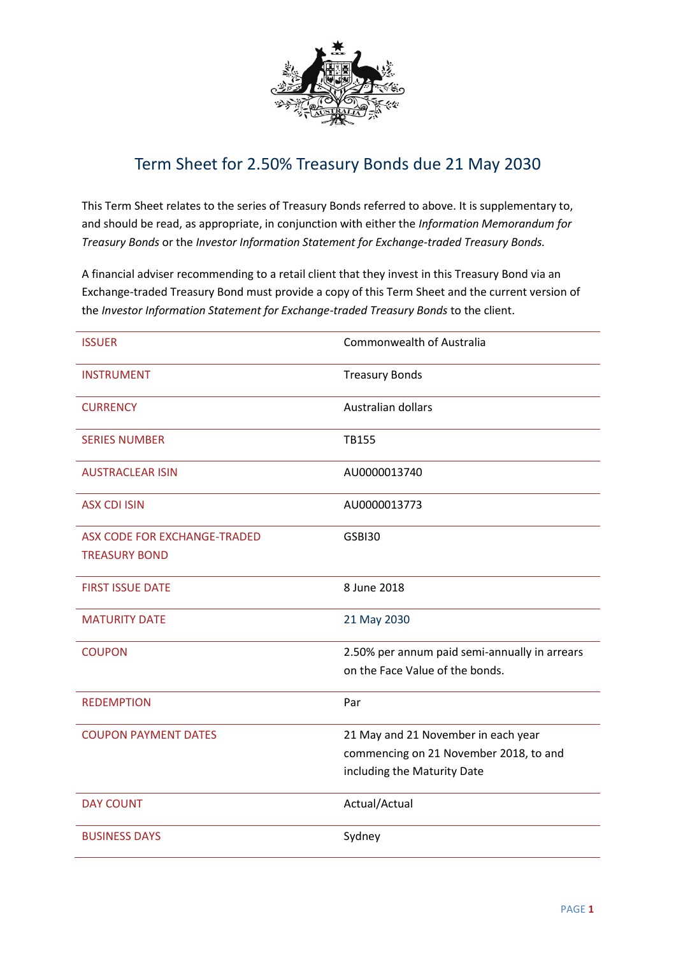

## Term Sheet for 2.50% Treasury Bonds due 21 May 2030

This Term Sheet relates to the series of Treasury Bonds referred to above. It is supplementary to, and should be read, as appropriate, in conjunction with either the *Information Memorandum for Treasury Bonds* or the *Investor Information Statement for Exchange-traded Treasury Bonds.*

A financial adviser recommending to a retail client that they invest in this Treasury Bond via an Exchange-traded Treasury Bond must provide a copy of this Term Sheet and the current version of the *Investor Information Statement for Exchange-traded Treasury Bonds* to the client.

| <b>ISSUER</b>                | Commonwealth of Australia                     |
|------------------------------|-----------------------------------------------|
| <b>INSTRUMENT</b>            | <b>Treasury Bonds</b>                         |
| <b>CURRENCY</b>              | Australian dollars                            |
| <b>SERIES NUMBER</b>         | TB155                                         |
| <b>AUSTRACLEAR ISIN</b>      | AU0000013740                                  |
| <b>ASX CDI ISIN</b>          | AU0000013773                                  |
| ASX CODE FOR EXCHANGE-TRADED | GSBI30                                        |
| <b>TREASURY BOND</b>         |                                               |
| <b>FIRST ISSUE DATE</b>      | 8 June 2018                                   |
| <b>MATURITY DATE</b>         | 21 May 2030                                   |
| <b>COUPON</b>                | 2.50% per annum paid semi-annually in arrears |
|                              | on the Face Value of the bonds.               |
| <b>REDEMPTION</b>            | Par                                           |
| <b>COUPON PAYMENT DATES</b>  | 21 May and 21 November in each year           |
|                              | commencing on 21 November 2018, to and        |
|                              | including the Maturity Date                   |
| <b>DAY COUNT</b>             | Actual/Actual                                 |
| <b>BUSINESS DAYS</b>         | Sydney                                        |